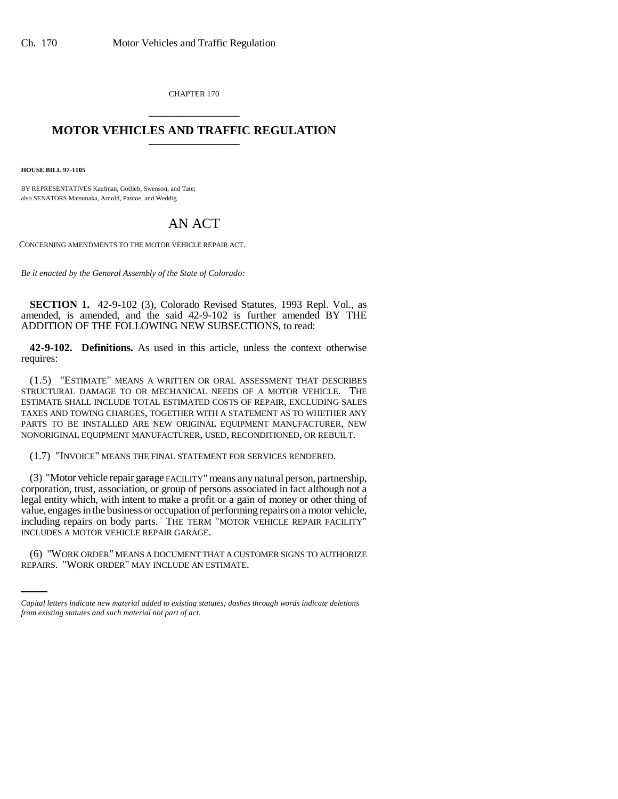CHAPTER 170 \_\_\_\_\_\_\_\_\_\_\_\_\_\_\_

## **MOTOR VEHICLES AND TRAFFIC REGULATION** \_\_\_\_\_\_\_\_\_\_\_\_\_\_\_

**HOUSE BILL 97-1105**

BY REPRESENTATIVES Kaufman, Gotlieb, Swenson, and Tate; also SENATORS Matsunaka, Arnold, Pascoe, and Weddig.

## AN ACT

CONCERNING AMENDMENTS TO THE MOTOR VEHICLE REPAIR ACT.

*Be it enacted by the General Assembly of the State of Colorado:*

**SECTION 1.** 42-9-102 (3), Colorado Revised Statutes, 1993 Repl. Vol., as amended, is amended, and the said 42-9-102 is further amended BY THE ADDITION OF THE FOLLOWING NEW SUBSECTIONS, to read:

**42-9-102. Definitions.** As used in this article, unless the context otherwise requires:

(1.5) "ESTIMATE" MEANS A WRITTEN OR ORAL ASSESSMENT THAT DESCRIBES STRUCTURAL DAMAGE TO OR MECHANICAL NEEDS OF A MOTOR VEHICLE. THE ESTIMATE SHALL INCLUDE TOTAL ESTIMATED COSTS OF REPAIR, EXCLUDING SALES TAXES AND TOWING CHARGES, TOGETHER WITH A STATEMENT AS TO WHETHER ANY PARTS TO BE INSTALLED ARE NEW ORIGINAL EQUIPMENT MANUFACTURER, NEW NONORIGINAL EQUIPMENT MANUFACTURER, USED, RECONDITIONED, OR REBUILT.

(1.7) "INVOICE" MEANS THE FINAL STATEMENT FOR SERVICES RENDERED.

INCLUDES A MOTOR VEHICLE REPAIR GARAGE. (3) "Motor vehicle repair garage FACILITY" means any natural person, partnership, corporation, trust, association, or group of persons associated in fact although not a legal entity which, with intent to make a profit or a gain of money or other thing of value, engages in the business or occupation of performing repairs on a motor vehicle, including repairs on body parts. THE TERM "MOTOR VEHICLE REPAIR FACILITY"

(6) "WORK ORDER" MEANS A DOCUMENT THAT A CUSTOMER SIGNS TO AUTHORIZE REPAIRS. "WORK ORDER" MAY INCLUDE AN ESTIMATE.

*Capital letters indicate new material added to existing statutes; dashes through words indicate deletions from existing statutes and such material not part of act.*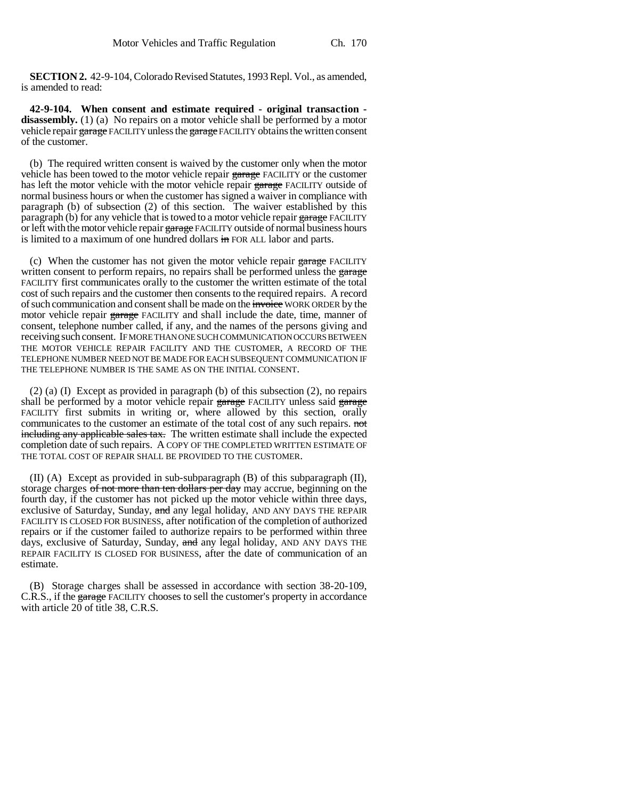**SECTION 2.** 42-9-104, Colorado Revised Statutes, 1993 Repl. Vol., as amended, is amended to read:

**42-9-104. When consent and estimate required - original transaction**  disassembly. (1) (a) No repairs on a motor vehicle shall be performed by a motor vehicle repair garage FACILITY unless the garage FACILITY obtains the written consent of the customer.

(b) The required written consent is waived by the customer only when the motor vehicle has been towed to the motor vehicle repair garage FACILITY or the customer has left the motor vehicle with the motor vehicle repair garage FACILITY outside of normal business hours or when the customer has signed a waiver in compliance with paragraph (b) of subsection (2) of this section. The waiver established by this paragraph (b) for any vehicle that is towed to a motor vehicle repair garage FACILITY or left with the motor vehicle repair garage FACILITY outside of normal business hours is limited to a maximum of one hundred dollars  $\frac{1}{2}$  FOR ALL labor and parts.

(c) When the customer has not given the motor vehicle repair  $\frac{1}{2}$  FACILITY written consent to perform repairs, no repairs shall be performed unless the garage FACILITY first communicates orally to the customer the written estimate of the total cost of such repairs and the customer then consents to the required repairs. A record of such communication and consent shall be made on the invoice WORK ORDER by the motor vehicle repair garage FACILITY and shall include the date, time, manner of consent, telephone number called, if any, and the names of the persons giving and receiving such consent. IF MORE THAN ONE SUCH COMMUNICATION OCCURS BETWEEN THE MOTOR VEHICLE REPAIR FACILITY AND THE CUSTOMER, A RECORD OF THE TELEPHONE NUMBER NEED NOT BE MADE FOR EACH SUBSEQUENT COMMUNICATION IF THE TELEPHONE NUMBER IS THE SAME AS ON THE INITIAL CONSENT.

(2) (a) (I) Except as provided in paragraph (b) of this subsection (2), no repairs shall be performed by a motor vehicle repair  $\frac{1}{2}$  examples said  $\frac{1}{2}$  and  $\frac{1}{2}$  said  $\frac{1}{2}$  and  $\frac{1}{2}$  and  $\frac{1}{2}$  and  $\frac{1}{2}$  and  $\frac{1}{2}$  and  $\frac{1}{2}$  and  $\frac{1}{2}$  and  $\frac{1}{2}$  and  $\frac{1}{2}$  a FACILITY first submits in writing or, where allowed by this section, orally communicates to the customer an estimate of the total cost of any such repairs. not including any applicable sales tax. The written estimate shall include the expected completion date of such repairs. A COPY OF THE COMPLETED WRITTEN ESTIMATE OF THE TOTAL COST OF REPAIR SHALL BE PROVIDED TO THE CUSTOMER.

(II) (A) Except as provided in sub-subparagraph (B) of this subparagraph (II), storage charges of not more than ten dollars per day may accrue, beginning on the fourth day, if the customer has not picked up the motor vehicle within three days, exclusive of Saturday, Sunday, and any legal holiday, AND ANY DAYS THE REPAIR FACILITY IS CLOSED FOR BUSINESS, after notification of the completion of authorized repairs or if the customer failed to authorize repairs to be performed within three days, exclusive of Saturday, Sunday, and any legal holiday, AND ANY DAYS THE REPAIR FACILITY IS CLOSED FOR BUSINESS, after the date of communication of an estimate.

(B) Storage charges shall be assessed in accordance with section 38-20-109, C.R.S., if the garage FACILITY chooses to sell the customer's property in accordance with article  $20$  of title 38, C.R.S.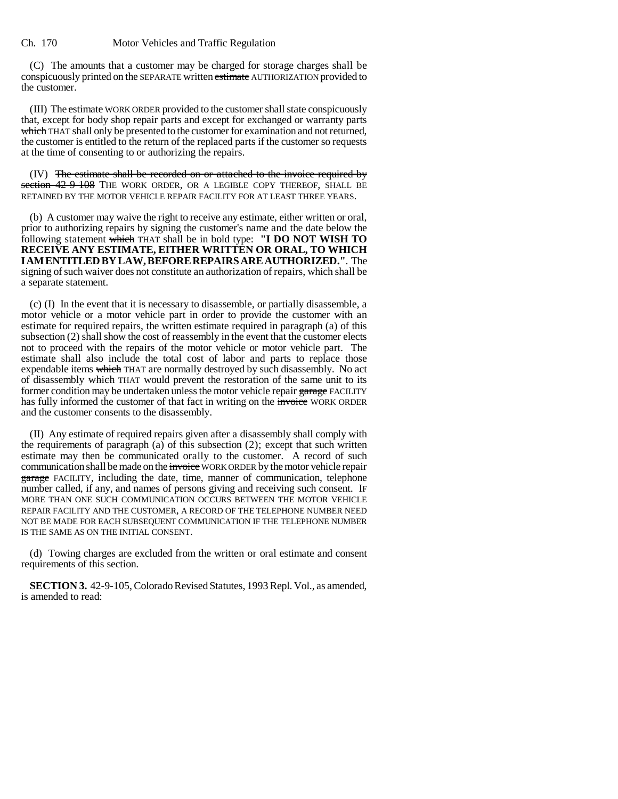(C) The amounts that a customer may be charged for storage charges shall be conspicuously printed on the SEPARATE written estimate AUTHORIZATION provided to the customer.

(III) The estimate WORK ORDER provided to the customer shall state conspicuously that, except for body shop repair parts and except for exchanged or warranty parts which THAT shall only be presented to the customer for examination and not returned, the customer is entitled to the return of the replaced parts if the customer so requests at the time of consenting to or authorizing the repairs.

(IV) The estimate shall be recorded on or attached to the invoice required by section 42-9-108 THE WORK ORDER, OR A LEGIBLE COPY THEREOF, SHALL BE RETAINED BY THE MOTOR VEHICLE REPAIR FACILITY FOR AT LEAST THREE YEARS.

(b) A customer may waive the right to receive any estimate, either written or oral, prior to authorizing repairs by signing the customer's name and the date below the following statement which THAT shall be in bold type: **"I DO NOT WISH TO RECEIVE ANY ESTIMATE, EITHER WRITTEN OR ORAL, TO WHICH I AM ENTITLED BY LAW, BEFORE REPAIRS ARE AUTHORIZED."**. The signing of such waiver does not constitute an authorization of repairs, which shall be a separate statement.

(c) (I) In the event that it is necessary to disassemble, or partially disassemble, a motor vehicle or a motor vehicle part in order to provide the customer with an estimate for required repairs, the written estimate required in paragraph (a) of this subsection (2) shall show the cost of reassembly in the event that the customer elects not to proceed with the repairs of the motor vehicle or motor vehicle part. The estimate shall also include the total cost of labor and parts to replace those expendable items which THAT are normally destroyed by such disassembly. No act of disassembly which THAT would prevent the restoration of the same unit to its former condition may be undertaken unless the motor vehicle repair garage FACILITY has fully informed the customer of that fact in writing on the invoice WORK ORDER and the customer consents to the disassembly.

(II) Any estimate of required repairs given after a disassembly shall comply with the requirements of paragraph (a) of this subsection  $(2)$ ; except that such written estimate may then be communicated orally to the customer. A record of such communication shall be made on the invoice WORK ORDER by the motor vehicle repair garage FACILITY, including the date, time, manner of communication, telephone number called, if any, and names of persons giving and receiving such consent. IF MORE THAN ONE SUCH COMMUNICATION OCCURS BETWEEN THE MOTOR VEHICLE REPAIR FACILITY AND THE CUSTOMER, A RECORD OF THE TELEPHONE NUMBER NEED NOT BE MADE FOR EACH SUBSEQUENT COMMUNICATION IF THE TELEPHONE NUMBER IS THE SAME AS ON THE INITIAL CONSENT.

(d) Towing charges are excluded from the written or oral estimate and consent requirements of this section.

**SECTION 3.** 42-9-105, Colorado Revised Statutes, 1993 Repl. Vol., as amended, is amended to read: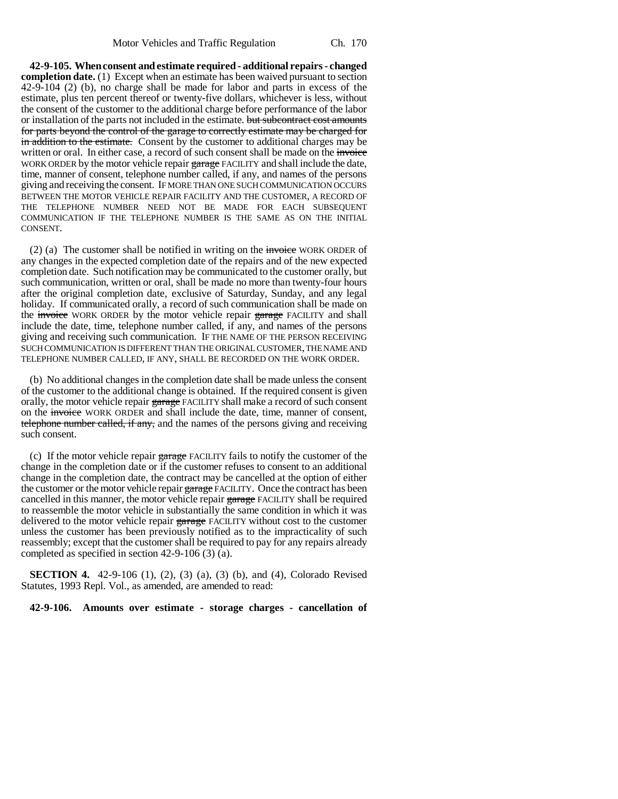**42-9-105. When consent and estimate required - additional repairs - changed completion date.** (1) Except when an estimate has been waived pursuant to section 42-9-104 (2) (b), no charge shall be made for labor and parts in excess of the estimate, plus ten percent thereof or twenty-five dollars, whichever is less, without the consent of the customer to the additional charge before performance of the labor or installation of the parts not included in the estimate. <del>but subcontract cost amounts</del> for parts beyond the control of the garage to correctly estimate may be charged for in addition to the estimate. Consent by the customer to additional charges may be written or oral. In either case, a record of such consent shall be made on the invoice WORK ORDER by the motor vehicle repair garage FACILITY and shall include the date, time, manner of consent, telephone number called, if any, and names of the persons giving and receiving the consent. IF MORE THAN ONE SUCH COMMUNICATION OCCURS BETWEEN THE MOTOR VEHICLE REPAIR FACILITY AND THE CUSTOMER, A RECORD OF THE TELEPHONE NUMBER NEED NOT BE MADE FOR EACH SUBSEQUENT COMMUNICATION IF THE TELEPHONE NUMBER IS THE SAME AS ON THE INITIAL CONSENT.

(2) (a) The customer shall be notified in writing on the invoice WORK ORDER of any changes in the expected completion date of the repairs and of the new expected completion date. Such notification may be communicated to the customer orally, but such communication, written or oral, shall be made no more than twenty-four hours after the original completion date, exclusive of Saturday, Sunday, and any legal holiday. If communicated orally, a record of such communication shall be made on the invoice WORK ORDER by the motor vehicle repair garage FACILITY and shall include the date, time, telephone number called, if any, and names of the persons giving and receiving such communication. IF THE NAME OF THE PERSON RECEIVING SUCH COMMUNICATION IS DIFFERENT THAN THE ORIGINAL CUSTOMER, THE NAME AND TELEPHONE NUMBER CALLED, IF ANY, SHALL BE RECORDED ON THE WORK ORDER.

(b) No additional changes in the completion date shall be made unless the consent of the customer to the additional change is obtained. If the required consent is given orally, the motor vehicle repair garage FACILITY shall make a record of such consent on the invoice WORK ORDER and shall include the date, time, manner of consent, telephone number called, if any, and the names of the persons giving and receiving such consent.

(c) If the motor vehicle repair garage FACILITY fails to notify the customer of the change in the completion date or if the customer refuses to consent to an additional change in the completion date, the contract may be cancelled at the option of either the customer or the motor vehicle repair garage FACILITY. Once the contract has been cancelled in this manner, the motor vehicle repair garage FACILITY shall be required to reassemble the motor vehicle in substantially the same condition in which it was delivered to the motor vehicle repair garage FACILITY without cost to the customer unless the customer has been previously notified as to the impracticality of such reassembly; except that the customer shall be required to pay for any repairs already completed as specified in section 42-9-106 (3) (a).

**SECTION 4.** 42-9-106 (1), (2), (3) (a), (3) (b), and (4), Colorado Revised Statutes, 1993 Repl. Vol., as amended, are amended to read:

**42-9-106. Amounts over estimate - storage charges - cancellation of**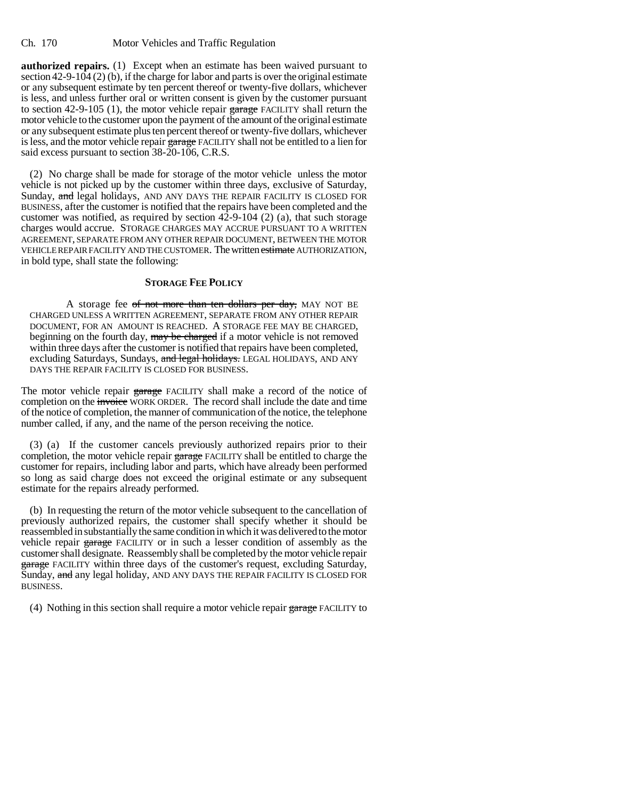**authorized repairs.** (1) Except when an estimate has been waived pursuant to section  $42-9-104(2)$  (b), if the charge for labor and parts is over the original estimate or any subsequent estimate by ten percent thereof or twenty-five dollars, whichever is less, and unless further oral or written consent is given by the customer pursuant to section 42-9-105 (1), the motor vehicle repair garage FACILITY shall return the motor vehicle to the customer upon the payment of the amount of the original estimate or any subsequent estimate plus ten percent thereof or twenty-five dollars, whichever is less, and the motor vehicle repair garage FACILITY shall not be entitled to a lien for said excess pursuant to section 38-20-106, C.R.S.

(2) No charge shall be made for storage of the motor vehicle unless the motor vehicle is not picked up by the customer within three days, exclusive of Saturday, Sunday, and legal holidays, AND ANY DAYS THE REPAIR FACILITY IS CLOSED FOR BUSINESS, after the customer is notified that the repairs have been completed and the customer was notified, as required by section  $42$ -9-104 (2) (a), that such storage charges would accrue. STORAGE CHARGES MAY ACCRUE PURSUANT TO A WRITTEN AGREEMENT, SEPARATE FROM ANY OTHER REPAIR DOCUMENT, BETWEEN THE MOTOR VEHICLE REPAIR FACILITY AND THE CUSTOMER. The written estimate AUTHORIZATION, in bold type, shall state the following:

## **STORAGE FEE POLICY**

A storage fee of not more than ten dollars per day, MAY NOT BE CHARGED UNLESS A WRITTEN AGREEMENT, SEPARATE FROM ANY OTHER REPAIR DOCUMENT, FOR AN AMOUNT IS REACHED. A STORAGE FEE MAY BE CHARGED, beginning on the fourth day, may be charged if a motor vehicle is not removed within three days after the customer is notified that repairs have been completed, excluding Saturdays, Sundays, and legal holidays. LEGAL HOLIDAYS, AND ANY DAYS THE REPAIR FACILITY IS CLOSED FOR BUSINESS.

The motor vehicle repair garage FACILITY shall make a record of the notice of completion on the invoice WORK ORDER. The record shall include the date and time of the notice of completion, the manner of communication of the notice, the telephone number called, if any, and the name of the person receiving the notice.

(3) (a) If the customer cancels previously authorized repairs prior to their completion, the motor vehicle repair garage FACILITY shall be entitled to charge the customer for repairs, including labor and parts, which have already been performed so long as said charge does not exceed the original estimate or any subsequent estimate for the repairs already performed.

(b) In requesting the return of the motor vehicle subsequent to the cancellation of previously authorized repairs, the customer shall specify whether it should be reassembled in substantially the same condition in which it was delivered to the motor vehicle repair garage FACILITY or in such a lesser condition of assembly as the customer shall designate. Reassembly shall be completed by the motor vehicle repair garage FACILITY within three days of the customer's request, excluding Saturday, Sunday, and any legal holiday, AND ANY DAYS THE REPAIR FACILITY IS CLOSED FOR BUSINESS.

(4) Nothing in this section shall require a motor vehicle repair  $\frac{1}{2}$  FACILITY to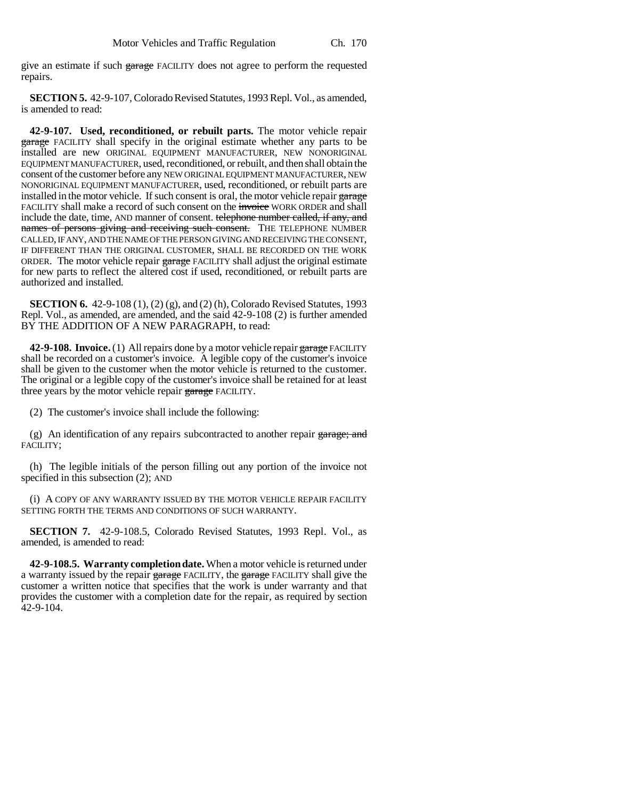give an estimate if such garage FACILITY does not agree to perform the requested repairs.

**SECTION 5.** 42-9-107, Colorado Revised Statutes, 1993 Repl. Vol., as amended, is amended to read:

**42-9-107. Used, reconditioned, or rebuilt parts.** The motor vehicle repair garage FACILITY shall specify in the original estimate whether any parts to be installed are new ORIGINAL EQUIPMENT MANUFACTURER, NEW NONORIGINAL EQUIPMENT MANUFACTURER, used, reconditioned, or rebuilt, and then shall obtain the consent of the customer before any NEW ORIGINAL EQUIPMENT MANUFACTURER, NEW NONORIGINAL EQUIPMENT MANUFACTURER, used, reconditioned, or rebuilt parts are installed in the motor vehicle. If such consent is oral, the motor vehicle repair garage FACILITY shall make a record of such consent on the invoice WORK ORDER and shall include the date, time, AND manner of consent. telephone number called, if any, and names of persons giving and receiving such consent. THE TELEPHONE NUMBER CALLED, IF ANY, AND THE NAME OF THE PERSON GIVING AND RECEIVING THE CONSENT, IF DIFFERENT THAN THE ORIGINAL CUSTOMER, SHALL BE RECORDED ON THE WORK ORDER. The motor vehicle repair garage FACILITY shall adjust the original estimate for new parts to reflect the altered cost if used, reconditioned, or rebuilt parts are authorized and installed.

**SECTION 6.** 42-9-108 (1), (2) (g), and (2) (h), Colorado Revised Statutes, 1993 Repl. Vol., as amended, are amended, and the said 42-9-108 (2) is further amended BY THE ADDITION OF A NEW PARAGRAPH, to read:

**42-9-108. Invoice.** (1) All repairs done by a motor vehicle repair garage FACILITY shall be recorded on a customer's invoice. A legible copy of the customer's invoice shall be given to the customer when the motor vehicle is returned to the customer. The original or a legible copy of the customer's invoice shall be retained for at least three years by the motor vehicle repair garage FACILITY.

(2) The customer's invoice shall include the following:

(g) An identification of any repairs subcontracted to another repair garage; and FACILITY;

(h) The legible initials of the person filling out any portion of the invoice not specified in this subsection (2); AND

(i) A COPY OF ANY WARRANTY ISSUED BY THE MOTOR VEHICLE REPAIR FACILITY SETTING FORTH THE TERMS AND CONDITIONS OF SUCH WARRANTY.

**SECTION 7.** 42-9-108.5, Colorado Revised Statutes, 1993 Repl. Vol., as amended, is amended to read:

**42-9-108.5. Warranty completion date.** When a motor vehicle is returned under a warranty issued by the repair garage FACILITY, the garage FACILITY shall give the customer a written notice that specifies that the work is under warranty and that provides the customer with a completion date for the repair, as required by section 42-9-104.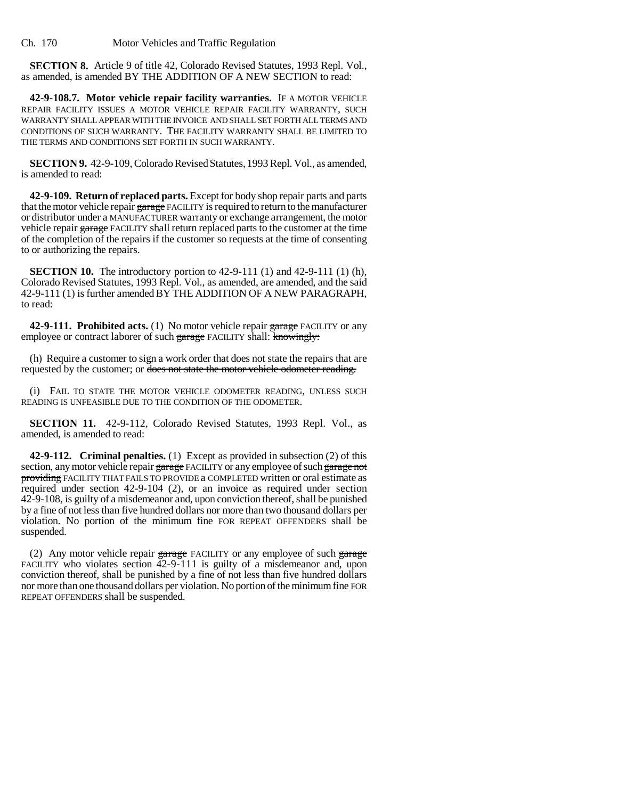Ch. 170 Motor Vehicles and Traffic Regulation

**SECTION 8.** Article 9 of title 42, Colorado Revised Statutes, 1993 Repl. Vol., as amended, is amended BY THE ADDITION OF A NEW SECTION to read:

**42-9-108.7. Motor vehicle repair facility warranties.** IF A MOTOR VEHICLE REPAIR FACILITY ISSUES A MOTOR VEHICLE REPAIR FACILITY WARRANTY, SUCH WARRANTY SHALL APPEAR WITH THE INVOICE AND SHALL SET FORTH ALL TERMS AND CONDITIONS OF SUCH WARRANTY. THE FACILITY WARRANTY SHALL BE LIMITED TO THE TERMS AND CONDITIONS SET FORTH IN SUCH WARRANTY.

**SECTION 9.** 42-9-109, Colorado Revised Statutes, 1993 Repl. Vol., as amended, is amended to read:

**42-9-109. Return of replaced parts.** Except for body shop repair parts and parts that the motor vehicle repair garage FACILITY is required to return to the manufacturer or distributor under a MANUFACTURER warranty or exchange arrangement, the motor vehicle repair garage FACILITY shall return replaced parts to the customer at the time of the completion of the repairs if the customer so requests at the time of consenting to or authorizing the repairs.

**SECTION 10.** The introductory portion to 42-9-111 (1) and 42-9-111 (1) (h), Colorado Revised Statutes, 1993 Repl. Vol., as amended, are amended, and the said 42-9-111 (1) is further amended BY THE ADDITION OF A NEW PARAGRAPH, to read:

**42-9-111. Prohibited acts.** (1) No motor vehicle repair garage FACILITY or any employee or contract laborer of such garage FACILITY shall: knowingly:

(h) Require a customer to sign a work order that does not state the repairs that are requested by the customer; or does not state the motor vehicle odometer reading.

(i) FAIL TO STATE THE MOTOR VEHICLE ODOMETER READING, UNLESS SUCH READING IS UNFEASIBLE DUE TO THE CONDITION OF THE ODOMETER.

**SECTION 11.** 42-9-112, Colorado Revised Statutes, 1993 Repl. Vol., as amended, is amended to read:

**42-9-112. Criminal penalties.** (1) Except as provided in subsection (2) of this section, any motor vehicle repair garage FACILITY or any employee of such garage not providing FACILITY THAT FAILS TO PROVIDE a COMPLETED written or oral estimate as required under section 42-9-104 (2), or an invoice as required under section 42-9-108, is guilty of a misdemeanor and, upon conviction thereof, shall be punished by a fine of not less than five hundred dollars nor more than two thousand dollars per violation. No portion of the minimum fine FOR REPEAT OFFENDERS shall be suspended.

(2) Any motor vehicle repair  $\frac{1}{2}$  FACILITY or any employee of such  $\frac{1}{2}$   $\frac{1}{2}$ FACILITY who violates section 42-9-111 is guilty of a misdemeanor and, upon conviction thereof, shall be punished by a fine of not less than five hundred dollars nor more than one thousand dollars per violation. No portion of the minimum fine FOR REPEAT OFFENDERS shall be suspended.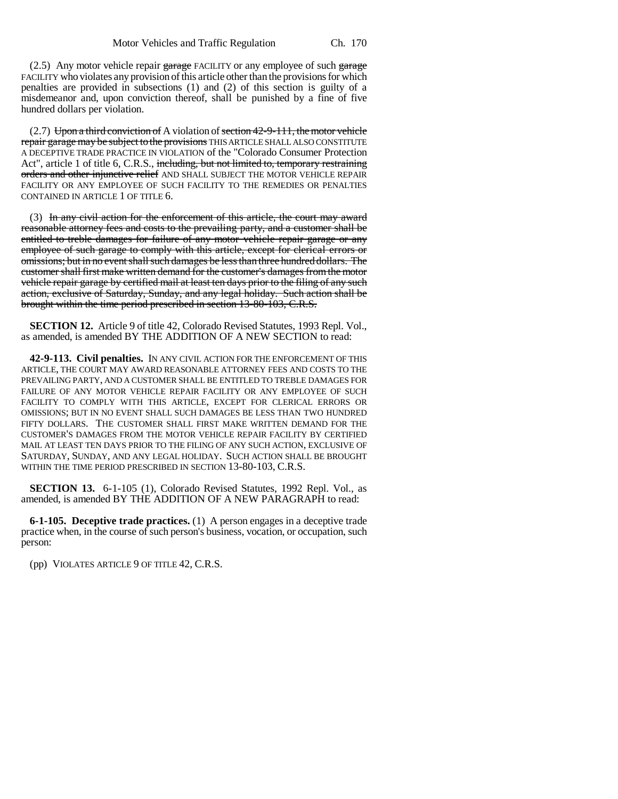$(2.5)$  Any motor vehicle repair garage FACILITY or any employee of such garage FACILITY who violates any provision of this article other than the provisions for which penalties are provided in subsections (1) and (2) of this section is guilty of a misdemeanor and, upon conviction thereof, shall be punished by a fine of five hundred dollars per violation.

 $(2.7)$  Upon a third conviction of A violation of section 42-9-111, the motor vehicle repair garage may be subject to the provisions THIS ARTICLE SHALL ALSO CONSTITUTE A DECEPTIVE TRADE PRACTICE IN VIOLATION of the "Colorado Consumer Protection Act", article 1 of title 6, C.R.S., including, but not limited to, temporary restraining orders and other injunctive relief AND SHALL SUBJECT THE MOTOR VEHICLE REPAIR FACILITY OR ANY EMPLOYEE OF SUCH FACILITY TO THE REMEDIES OR PENALTIES CONTAINED IN ARTICLE 1 OF TITLE 6.

(3) In any civil action for the enforcement of this article, the court may award reasonable attorney fees and costs to the prevailing party, and a customer shall be entitled to treble damages for failure of any motor vehicle repair garage or any employee of such garage to comply with this article, except for clerical errors or omissions; but in no event shall such damages be less than three hundred dollars. The customer shall first make written demand for the customer's damages from the motor vehicle repair garage by certified mail at least ten days prior to the filing of any such action, exclusive of Saturday, Sunday, and any legal holiday. Such action shall be brought within the time period prescribed in section 13-80-103, C.R.S.

**SECTION 12.** Article 9 of title 42, Colorado Revised Statutes, 1993 Repl. Vol., as amended, is amended BY THE ADDITION OF A NEW SECTION to read:

**42-9-113. Civil penalties.** IN ANY CIVIL ACTION FOR THE ENFORCEMENT OF THIS ARTICLE, THE COURT MAY AWARD REASONABLE ATTORNEY FEES AND COSTS TO THE PREVAILING PARTY, AND A CUSTOMER SHALL BE ENTITLED TO TREBLE DAMAGES FOR FAILURE OF ANY MOTOR VEHICLE REPAIR FACILITY OR ANY EMPLOYEE OF SUCH FACILITY TO COMPLY WITH THIS ARTICLE, EXCEPT FOR CLERICAL ERRORS OR OMISSIONS; BUT IN NO EVENT SHALL SUCH DAMAGES BE LESS THAN TWO HUNDRED FIFTY DOLLARS. THE CUSTOMER SHALL FIRST MAKE WRITTEN DEMAND FOR THE CUSTOMER'S DAMAGES FROM THE MOTOR VEHICLE REPAIR FACILITY BY CERTIFIED MAIL AT LEAST TEN DAYS PRIOR TO THE FILING OF ANY SUCH ACTION, EXCLUSIVE OF SATURDAY, SUNDAY, AND ANY LEGAL HOLIDAY. SUCH ACTION SHALL BE BROUGHT WITHIN THE TIME PERIOD PRESCRIBED IN SECTION 13-80-103, C.R.S.

**SECTION 13.** 6-1-105 (1), Colorado Revised Statutes, 1992 Repl. Vol., as amended, is amended BY THE ADDITION OF A NEW PARAGRAPH to read:

**6-1-105. Deceptive trade practices.** (1) A person engages in a deceptive trade practice when, in the course of such person's business, vocation, or occupation, such person:

(pp) VIOLATES ARTICLE 9 OF TITLE 42, C.R.S.